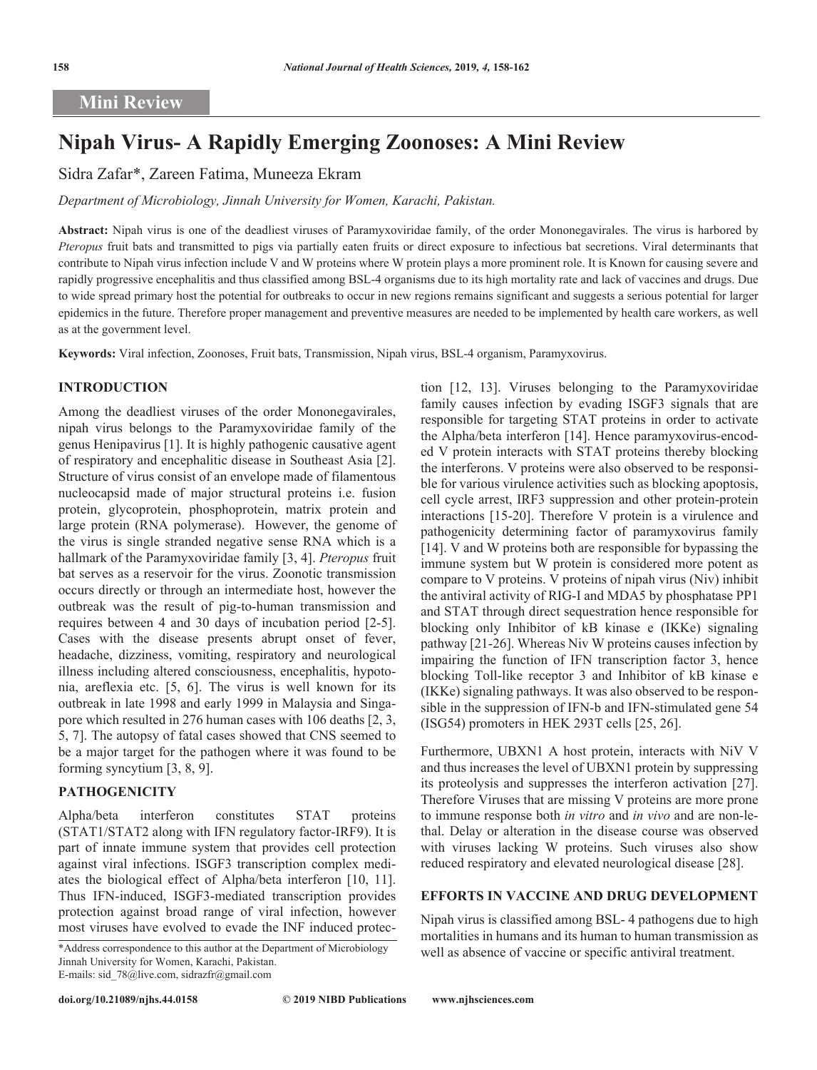# **Mini Review**

# **Nipah Virus- A Rapidly Emerging Zoonoses: A Mini Review**

# Sidra Zafar\*, Zareen Fatima, Muneeza Ekram

*Department of Microbiology, Jinnah University for Women, Karachi, Pakistan.*

**Abstract:** Nipah virus is one of the deadliest viruses of Paramyxoviridae family, of the order Mononegavirales. The virus is harbored by *Pteropus* fruit bats and transmitted to pigs via partially eaten fruits or direct exposure to infectious bat secretions. Viral determinants that contribute to Nipah virus infection include V and W proteins where W protein plays a more prominent role. It is Known for causing severe and rapidly progressive encephalitis and thus classified among BSL-4 organisms due to its high mortality rate and lack of vaccines and drugs. Due to wide spread primary host the potential for outbreaks to occur in new regions remains significant and suggests a serious potential for larger epidemics in the future. Therefore proper management and preventive measures are needed to be implemented by health care workers, as well as at the government level.

**Keywords:** Viral infection, Zoonoses, Fruit bats, Transmission, Nipah virus, BSL-4 organism, Paramyxovirus.

# **INTRODUCTION**

Among the deadliest viruses of the order Mononegavirales, nipah virus belongs to the Paramyxoviridae family of the genus Henipavirus [1]. It is highly pathogenic causative agent of respiratory and encephalitic disease in Southeast Asia [2]. Structure of virus consist of an envelope made of filamentous nucleocapsid made of major structural proteins i.e. fusion protein, glycoprotein, phosphoprotein, matrix protein and large protein (RNA polymerase). However, the genome of the virus is single stranded negative sense RNA which is a hallmark of the Paramyxoviridae family [3, 4]. *Pteropus* fruit bat serves as a reservoir for the virus. Zoonotic transmission occurs directly or through an intermediate host, however the outbreak was the result of pig-to-human transmission and requires between 4 and 30 days of incubation period [2-5]. Cases with the disease presents abrupt onset of fever, headache, dizziness, vomiting, respiratory and neurological illness including altered consciousness, encephalitis, hypotonia, areflexia etc. [5, 6]. The virus is well known for its outbreak in late 1998 and early 1999 in Malaysia and Singapore which resulted in 276 human cases with 106 deaths [2, 3, 5, 7]. The autopsy of fatal cases showed that CNS seemed to be a major target for the pathogen where it was found to be forming syncytium [3, 8, 9].

#### **PATHOGENICITY**

Alpha/beta interferon constitutes STAT proteins (STAT1/STAT2 along with IFN regulatory factor-IRF9). It is part of innate immune system that provides cell protection against viral infections. ISGF3 transcription complex mediates the biological effect of Alpha/beta interferon [10, 11]. Thus IFN-induced, ISGF3-mediated transcription provides protection against broad range of viral infection, however most viruses have evolved to evade the INF induced protec-

tion [12, 13]. Viruses belonging to the Paramyxoviridae family causes infection by evading ISGF3 signals that are responsible for targeting STAT proteins in order to activate the Alpha/beta interferon [14]. Hence paramyxovirus-encoded V protein interacts with STAT proteins thereby blocking the interferons. V proteins were also observed to be responsible for various virulence activities such as blocking apoptosis, cell cycle arrest, IRF3 suppression and other protein-protein interactions [15-20]. Therefore V protein is a virulence and pathogenicity determining factor of paramyxovirus family [14]. V and W proteins both are responsible for bypassing the immune system but W protein is considered more potent as compare to V proteins. V proteins of nipah virus (Niv) inhibit the antiviral activity of RIG-I and MDA5 by phosphatase PP1 and STAT through direct sequestration hence responsible for blocking only Inhibitor of kB kinase e (IKKe) signaling pathway [21-26]. Whereas Niv W proteins causes infection by impairing the function of IFN transcription factor 3, hence blocking Toll-like receptor 3 and Inhibitor of kB kinase e (IKKe) signaling pathways. It was also observed to be responsible in the suppression of IFN-b and IFN-stimulated gene 54 (ISG54) promoters in HEK 293T cells [25, 26].

Furthermore, UBXN1 A host protein, interacts with NiV V and thus increases the level of UBXN1 protein by suppressing its proteolysis and suppresses the interferon activation [27]. Therefore Viruses that are missing V proteins are more prone to immune response both *in vitro* and *in vivo* and are non-lethal. Delay or alteration in the disease course was observed with viruses lacking W proteins. Such viruses also show reduced respiratory and elevated neurological disease [28].

### **EFFORTS IN VACCINE AND DRUG DEVELOPMENT**

Nipah virus is classified among BSL- 4 pathogens due to high mortalities in humans and its human to human transmission as \*Address correspondence to this author at the Department of Microbiology well as absence of vaccine or specific antiviral treatment.

Jinnah University for Women, Karachi, Pakistan. E-mails: sid\_78@live.com, sidrazfr@gmail.com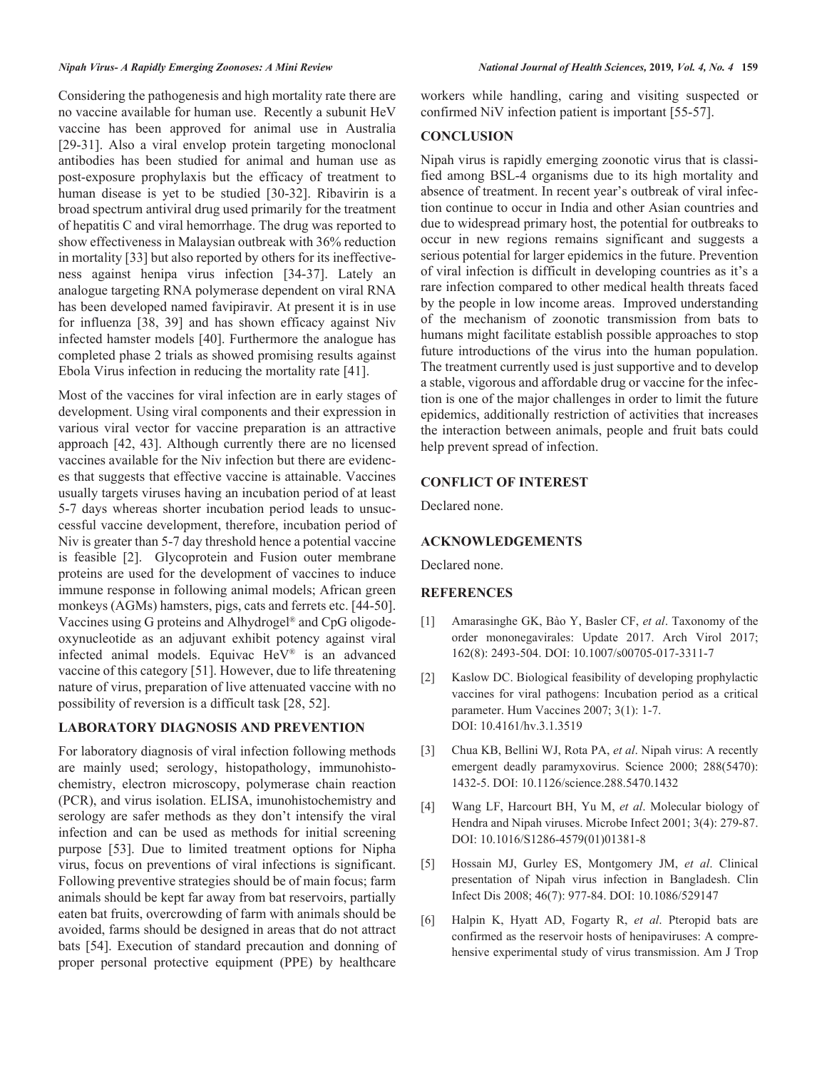Considering the pathogenesis and high mortality rate there are no vaccine available for human use. Recently a subunit HeV vaccine has been approved for animal use in Australia [29-31]. Also a viral envelop protein targeting monoclonal antibodies has been studied for animal and human use as post-exposure prophylaxis but the efficacy of treatment to human disease is yet to be studied [30-32]. Ribavirin is a broad spectrum antiviral drug used primarily for the treatment of hepatitis C and viral hemorrhage. The drug was reported to show effectiveness in Malaysian outbreak with 36% reduction in mortality [33] but also reported by others for its ineffectiveness against henipa virus infection [34-37]. Lately an analogue targeting RNA polymerase dependent on viral RNA has been developed named favipiravir. At present it is in use for influenza [38, 39] and has shown efficacy against Niv infected hamster models [40]. Furthermore the analogue has completed phase 2 trials as showed promising results against Ebola Virus infection in reducing the mortality rate [41].

Most of the vaccines for viral infection are in early stages of development. Using viral components and their expression in various viral vector for vaccine preparation is an attractive approach [42, 43]. Although currently there are no licensed vaccines available for the Niv infection but there are evidences that suggests that effective vaccine is attainable. Vaccines usually targets viruses having an incubation period of at least 5-7 days whereas shorter incubation period leads to unsuccessful vaccine development, therefore, incubation period of Niv is greater than 5-7 day threshold hence a potential vaccine is feasible [2]. Glycoprotein and Fusion outer membrane proteins are used for the development of vaccines to induce immune response in following animal models; African green monkeys (AGMs) hamsters, pigs, cats and ferrets etc. [44-50]. Vaccines using G proteins and Alhydrogel® and CpG oligodeoxynucleotide as an adjuvant exhibit potency against viral infected animal models. Equivac HeV® is an advanced vaccine of this category [51]. However, due to life threatening nature of virus, preparation of live attenuated vaccine with no possibility of reversion is a difficult task [28, 52].

# **LABORATORY DIAGNOSIS AND PREVENTION**

For laboratory diagnosis of viral infection following methods are mainly used; serology, histopathology, immunohistochemistry, electron microscopy, polymerase chain reaction (PCR), and virus isolation. ELISA, imunohistochemistry and serology are safer methods as they don't intensify the viral infection and can be used as methods for initial screening purpose [53]. Due to limited treatment options for Nipha virus, focus on preventions of viral infections is significant. Following preventive strategies should be of main focus; farm animals should be kept far away from bat reservoirs, partially eaten bat fruits, overcrowding of farm with animals should be avoided, farms should be designed in areas that do not attract bats [54]. Execution of standard precaution and donning of proper personal protective equipment (PPE) by healthcare

workers while handling, caring and visiting suspected or confirmed NiV infection patient is important [55-57].

#### **CONCLUSION**

Nipah virus is rapidly emerging zoonotic virus that is classified among BSL-4 organisms due to its high mortality and absence of treatment. In recent year's outbreak of viral infection continue to occur in India and other Asian countries and due to widespread primary host, the potential for outbreaks to occur in new regions remains significant and suggests a serious potential for larger epidemics in the future. Prevention of viral infection is difficult in developing countries as it's a rare infection compared to other medical health threats faced by the people in low income areas. Improved understanding of the mechanism of zoonotic transmission from bats to humans might facilitate establish possible approaches to stop future introductions of the virus into the human population. The treatment currently used is just supportive and to develop a stable, vigorous and affordable drug or vaccine for the infection is one of the major challenges in order to limit the future epidemics, additionally restriction of activities that increases the interaction between animals, people and fruit bats could help prevent spread of infection.

#### **CONFLICT OF INTEREST**

Declared none.

### **ACKNOWLEDGEMENTS**

Declared none.

#### **REFERENCES**

- [1] Amarasinghe GK, Bào Y, Basler CF, *et al*. Taxonomy of the order mononegavirales: Update 2017. Arch Virol 2017; 162(8): 2493-504. DOI: 10.1007/s00705-017-3311-7
- [2] Kaslow DC. Biological feasibility of developing prophylactic vaccines for viral pathogens: Incubation period as a critical parameter. Hum Vaccines 2007; 3(1): 1-7. DOI: 10.4161/hv.3.1.3519
- [3] Chua KB, Bellini WJ, Rota PA, *et al*. Nipah virus: A recently emergent deadly paramyxovirus. Science 2000; 288(5470): 1432-5. DOI: 10.1126/science.288.5470.1432
- [4] Wang LF, Harcourt BH, Yu M, *et al*. Molecular biology of Hendra and Nipah viruses. Microbe Infect 2001; 3(4): 279-87. DOI: 10.1016/S1286-4579(01)01381-8
- [5] Hossain MJ, Gurley ES, Montgomery JM, *et al*. Clinical presentation of Nipah virus infection in Bangladesh. Clin Infect Dis 2008; 46(7): 977-84. DOI: 10.1086/529147
- [6] Halpin K, Hyatt AD, Fogarty R, *et al*. Pteropid bats are confirmed as the reservoir hosts of henipaviruses: A comprehensive experimental study of virus transmission. Am J Trop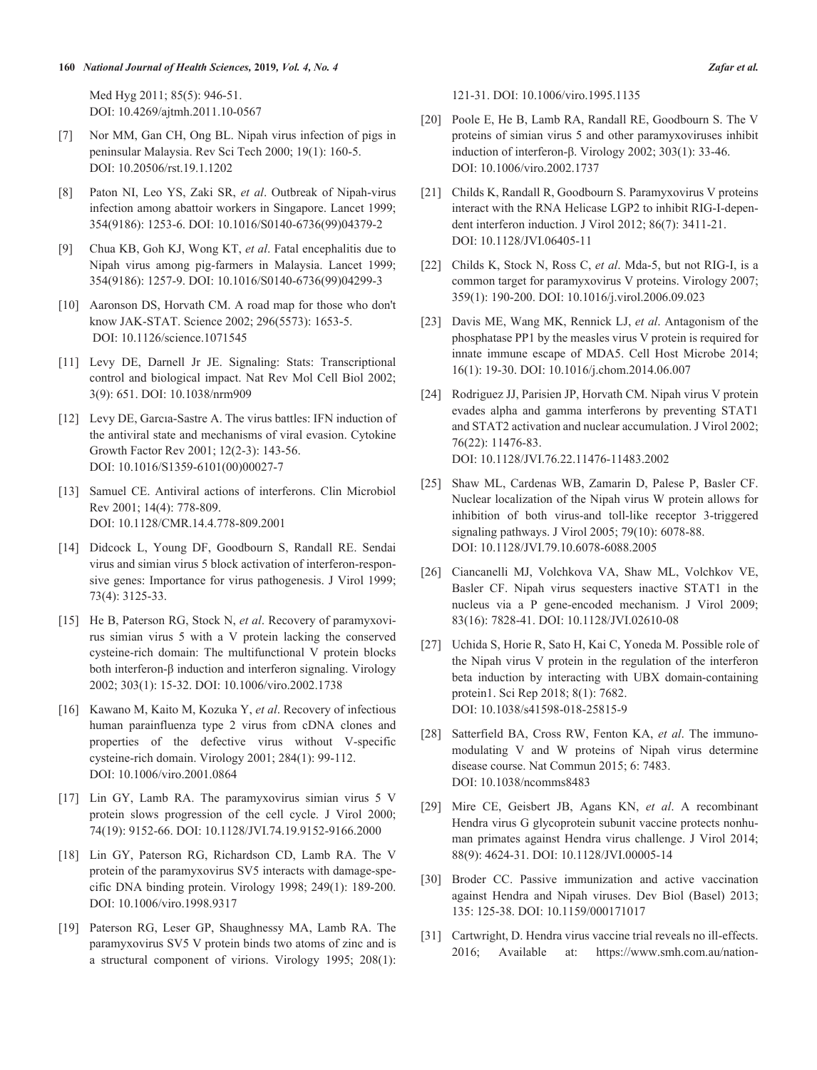#### **160** *National Journal of Health Sciences,* **2019***, Vol. 4, No. 4 Zafar et al.*

Med Hyg 2011; 85(5): 946-51. DOI: 10.4269/ajtmh.2011.10-0567

- [7] Nor MM, Gan CH, Ong BL. Nipah virus infection of pigs in peninsular Malaysia. Rev Sci Tech 2000; 19(1): 160-5. DOI: 10.20506/rst.19.1.1202
- [8] Paton NI, Leo YS, Zaki SR, *et al*. Outbreak of Nipah-virus infection among abattoir workers in Singapore. Lancet 1999; 354(9186): 1253-6. DOI: 10.1016/S0140-6736(99)04379-2
- [9] Chua KB, Goh KJ, Wong KT, *et al*. Fatal encephalitis due to Nipah virus among pig-farmers in Malaysia. Lancet 1999; 354(9186): 1257-9. DOI: 10.1016/S0140-6736(99)04299-3
- [10] Aaronson DS, Horvath CM. A road map for those who don't know JAK-STAT. Science 2002; 296(5573): 1653-5. DOI: 10.1126/science.1071545
- [11] Levy DE, Darnell Jr JE. Signaling: Stats: Transcriptional control and biological impact. Nat Rev Mol Cell Biol 2002; 3(9): 651. DOI: 10.1038/nrm909
- [12] Levy DE, Garcıa-Sastre A. The virus battles: IFN induction of the antiviral state and mechanisms of viral evasion. Cytokine Growth Factor Rev 2001; 12(2-3): 143-56. DOI: 10.1016/S1359-6101(00)00027-7
- [13] Samuel CE. Antiviral actions of interferons. Clin Microbiol Rev 2001; 14(4): 778-809. DOI: 10.1128/CMR.14.4.778-809.2001
- [14] Didcock L, Young DF, Goodbourn S, Randall RE. Sendai virus and simian virus 5 block activation of interferon-responsive genes: Importance for virus pathogenesis. J Virol 1999; 73(4): 3125-33.
- [15] He B, Paterson RG, Stock N, *et al*. Recovery of paramyxovirus simian virus 5 with a V protein lacking the conserved cysteine-rich domain: The multifunctional V protein blocks both interferon-β induction and interferon signaling. Virology 2002; 303(1): 15-32. DOI: 10.1006/viro.2002.1738
- [16] Kawano M, Kaito M, Kozuka Y, *et al*. Recovery of infectious human parainfluenza type 2 virus from cDNA clones and properties of the defective virus without V-specific cysteine-rich domain. Virology 2001; 284(1): 99-112. DOI: 10.1006/viro.2001.0864
- [17] Lin GY, Lamb RA. The paramyxovirus simian virus 5 V protein slows progression of the cell cycle. J Virol 2000; 74(19): 9152-66. DOI: 10.1128/JVI.74.19.9152-9166.2000
- [18] Lin GY, Paterson RG, Richardson CD, Lamb RA. The V protein of the paramyxovirus SV5 interacts with damage-specific DNA binding protein. Virology 1998; 249(1): 189-200. DOI: 10.1006/viro.1998.9317
- [19] Paterson RG, Leser GP, Shaughnessy MA, Lamb RA. The paramyxovirus SV5 V protein binds two atoms of zinc and is a structural component of virions. Virology 1995; 208(1):

121-31. DOI: 10.1006/viro.1995.1135

- [20] Poole E, He B, Lamb RA, Randall RE, Goodbourn S. The V proteins of simian virus 5 and other paramyxoviruses inhibit induction of interferon-β. Virology 2002; 303(1): 33-46. DOI: 10.1006/viro.2002.1737
- [21] Childs K, Randall R, Goodbourn S. Paramyxovirus V proteins interact with the RNA Helicase LGP2 to inhibit RIG-I-dependent interferon induction. J Virol 2012; 86(7): 3411-21. DOI: 10.1128/JVI.06405-11
- [22] Childs K, Stock N, Ross C, *et al*. Mda-5, but not RIG-I, is a common target for paramyxovirus V proteins. Virology 2007; 359(1): 190-200. DOI: 10.1016/j.virol.2006.09.023
- [23] Davis ME, Wang MK, Rennick LJ, *et al*. Antagonism of the phosphatase PP1 by the measles virus V protein is required for innate immune escape of MDA5. Cell Host Microbe 2014; 16(1): 19-30. DOI: 10.1016/j.chom.2014.06.007
- [24] Rodriguez JJ, Parisien JP, Horvath CM. Nipah virus V protein evades alpha and gamma interferons by preventing STAT1 and STAT2 activation and nuclear accumulation. J Virol 2002; 76(22): 11476-83. DOI: 10.1128/JVI.76.22.11476-11483.2002
- [25] Shaw ML, Cardenas WB, Zamarin D, Palese P, Basler CF. Nuclear localization of the Nipah virus W protein allows for inhibition of both virus-and toll-like receptor 3-triggered signaling pathways. J Virol 2005; 79(10): 6078-88. DOI: 10.1128/JVI.79.10.6078-6088.2005
- [26] Ciancanelli MJ, Volchkova VA, Shaw ML, Volchkov VE, Basler CF. Nipah virus sequesters inactive STAT1 in the nucleus via a P gene-encoded mechanism. J Virol 2009; 83(16): 7828-41. DOI: 10.1128/JVI.02610-08
- [27] Uchida S, Horie R, Sato H, Kai C, Yoneda M. Possible role of the Nipah virus V protein in the regulation of the interferon beta induction by interacting with UBX domain-containing protein1. Sci Rep 2018; 8(1): 7682. DOI: 10.1038/s41598-018-25815-9
- [28] Satterfield BA, Cross RW, Fenton KA, *et al*. The immunomodulating V and W proteins of Nipah virus determine disease course. Nat Commun 2015; 6: 7483. DOI: 10.1038/ncomms8483
- [29] Mire CE, Geisbert JB, Agans KN, *et al*. A recombinant Hendra virus G glycoprotein subunit vaccine protects nonhuman primates against Hendra virus challenge. J Virol 2014; 88(9): 4624-31. DOI: 10.1128/JVI.00005-14
- [30] Broder CC. Passive immunization and active vaccination against Hendra and Nipah viruses. Dev Biol (Basel) 2013; 135: 125-38. DOI: 10.1159/000171017
- [31] Cartwright, D. Hendra virus vaccine trial reveals no ill-effects. 2016; Available at: https://www.smh.com.au/nation-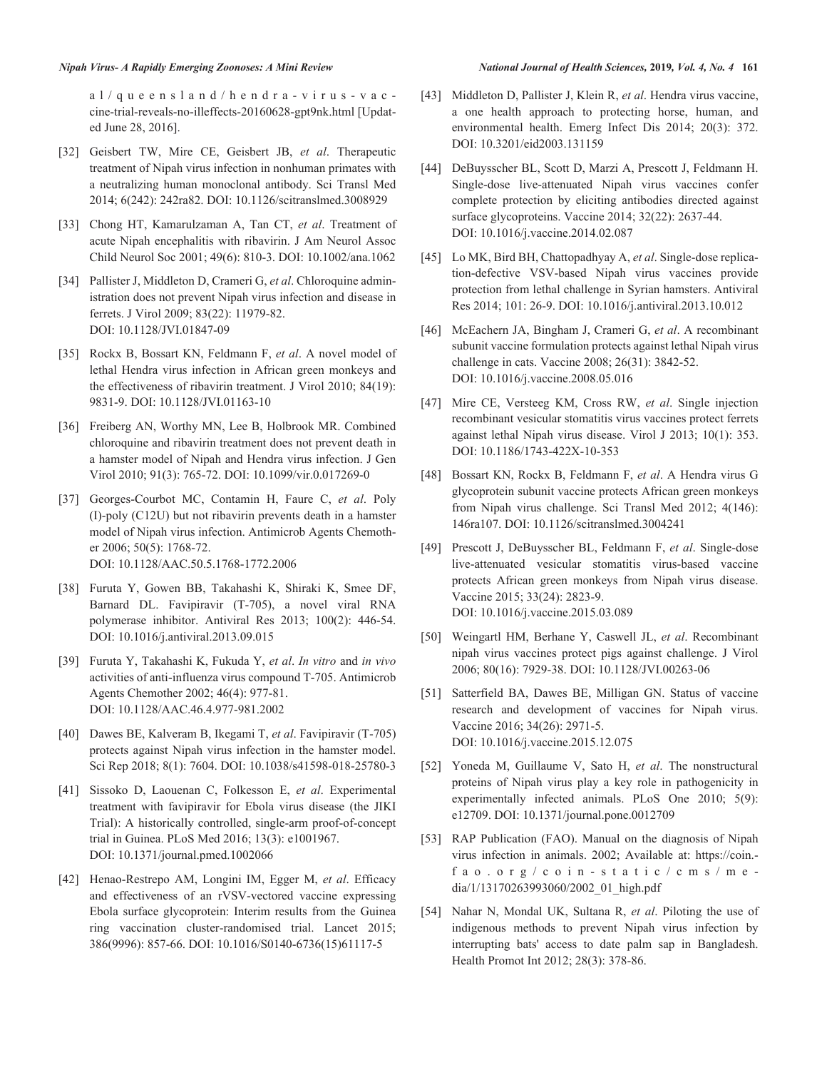al/queensland/hendra-virus-vac cine-trial-reveals-no-illeffects-20160628-gpt9nk.html [Updated June 28, 2016].

- [32] Geisbert TW, Mire CE, Geisbert JB, *et al*. Therapeutic treatment of Nipah virus infection in nonhuman primates with a neutralizing human monoclonal antibody. Sci Transl Med 2014; 6(242): 242ra82. DOI: 10.1126/scitranslmed.3008929
- [33] Chong HT, Kamarulzaman A, Tan CT, *et al*. Treatment of acute Nipah encephalitis with ribavirin. J Am Neurol Assoc Child Neurol Soc 2001; 49(6): 810-3. DOI: 10.1002/ana.1062
- [34] Pallister J, Middleton D, Crameri G, *et al*. Chloroquine administration does not prevent Nipah virus infection and disease in ferrets. J Virol 2009; 83(22): 11979-82. DOI: 10.1128/JVI.01847-09
- [35] Rockx B, Bossart KN, Feldmann F, *et al*. A novel model of lethal Hendra virus infection in African green monkeys and the effectiveness of ribavirin treatment. J Virol 2010; 84(19): 9831-9. DOI: 10.1128/JVI.01163-10
- [36] Freiberg AN, Worthy MN, Lee B, Holbrook MR. Combined chloroquine and ribavirin treatment does not prevent death in a hamster model of Nipah and Hendra virus infection. J Gen Virol 2010; 91(3): 765-72. DOI: 10.1099/vir.0.017269-0
- [37] Georges-Courbot MC, Contamin H, Faure C, *et al*. Poly (I)-poly (C12U) but not ribavirin prevents death in a hamster model of Nipah virus infection. Antimicrob Agents Chemother 2006; 50(5): 1768-72. DOI: 10.1128/AAC.50.5.1768-1772.2006
- [38] Furuta Y, Gowen BB, Takahashi K, Shiraki K, Smee DF, Barnard DL. Favipiravir (T-705), a novel viral RNA polymerase inhibitor. Antiviral Res 2013; 100(2): 446-54. DOI: 10.1016/j.antiviral.2013.09.015
- [39] Furuta Y, Takahashi K, Fukuda Y, *et al*. *In vitro* and *in vivo* activities of anti-influenza virus compound T-705. Antimicrob Agents Chemother 2002; 46(4): 977-81. DOI: 10.1128/AAC.46.4.977-981.2002
- [40] Dawes BE, Kalveram B, Ikegami T, *et al*. Favipiravir (T-705) protects against Nipah virus infection in the hamster model. Sci Rep 2018; 8(1): 7604. DOI: 10.1038/s41598-018-25780-3
- [41] Sissoko D, Laouenan C, Folkesson E, *et al*. Experimental treatment with favipiravir for Ebola virus disease (the JIKI Trial): A historically controlled, single-arm proof-of-concept trial in Guinea. PLoS Med 2016; 13(3): e1001967. DOI: 10.1371/journal.pmed.1002066
- [42] Henao-Restrepo AM, Longini IM, Egger M, *et al*. Efficacy and effectiveness of an rVSV-vectored vaccine expressing Ebola surface glycoprotein: Interim results from the Guinea ring vaccination cluster-randomised trial. Lancet 2015; 386(9996): 857-66. DOI: 10.1016/S0140-6736(15)61117-5
- [43] Middleton D, Pallister J, Klein R, *et al*. Hendra virus vaccine, a one health approach to protecting horse, human, and environmental health. Emerg Infect Dis 2014; 20(3): 372. DOI: 10.3201/eid2003.131159
- [44] DeBuysscher BL, Scott D, Marzi A, Prescott J, Feldmann H. Single-dose live-attenuated Nipah virus vaccines confer complete protection by eliciting antibodies directed against surface glycoproteins. Vaccine 2014; 32(22): 2637-44. DOI: 10.1016/j.vaccine.2014.02.087
- [45] Lo MK, Bird BH, Chattopadhyay A, *et al*. Single-dose replication-defective VSV-based Nipah virus vaccines provide protection from lethal challenge in Syrian hamsters. Antiviral Res 2014; 101: 26-9. DOI: 10.1016/j.antiviral.2013.10.012
- [46] McEachern JA, Bingham J, Crameri G, *et al*. A recombinant subunit vaccine formulation protects against lethal Nipah virus challenge in cats. Vaccine 2008; 26(31): 3842-52. DOI: 10.1016/j.vaccine.2008.05.016
- [47] Mire CE, Versteeg KM, Cross RW, *et al*. Single injection recombinant vesicular stomatitis virus vaccines protect ferrets against lethal Nipah virus disease. Virol J 2013; 10(1): 353. DOI: 10.1186/1743-422X-10-353
- [48] Bossart KN, Rockx B, Feldmann F, *et al*. A Hendra virus G glycoprotein subunit vaccine protects African green monkeys from Nipah virus challenge. Sci Transl Med 2012; 4(146): 146ra107. DOI: 10.1126/scitranslmed.3004241
- [49] Prescott J, DeBuysscher BL, Feldmann F, *et al*. Single-dose live-attenuated vesicular stomatitis virus-based vaccine protects African green monkeys from Nipah virus disease. Vaccine 2015; 33(24): 2823-9. DOI: 10.1016/j.vaccine.2015.03.089
- [50] Weingartl HM, Berhane Y, Caswell JL, *et al*. Recombinant nipah virus vaccines protect pigs against challenge. J Virol 2006; 80(16): 7929-38. DOI: 10.1128/JVI.00263-06
- [51] Satterfield BA, Dawes BE, Milligan GN. Status of vaccine research and development of vaccines for Nipah virus. Vaccine 2016; 34(26): 2971-5. DOI: 10.1016/j.vaccine.2015.12.075
- [52] Yoneda M, Guillaume V, Sato H, *et al*. The nonstructural proteins of Nipah virus play a key role in pathogenicity in experimentally infected animals. PLoS One 2010; 5(9): e12709. DOI: 10.1371/journal.pone.0012709
- [53] RAP Publication (FAO). Manual on the diagnosis of Nipah virus infection in animals. 2002; Available at: https://coin. fao.org/coin-static/cms/me dia/1/13170263993060/2002\_01\_high.pdf
- [54] Nahar N, Mondal UK, Sultana R, *et al*. Piloting the use of indigenous methods to prevent Nipah virus infection by interrupting bats' access to date palm sap in Bangladesh. Health Promot Int 2012; 28(3): 378-86.